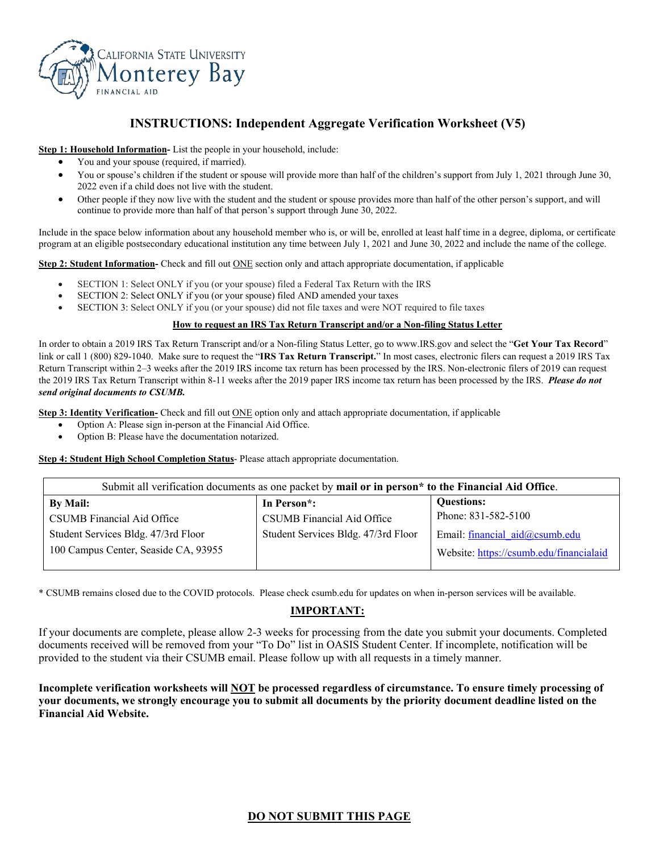

# **INSTRUCTIONS: Independent Aggregate Verification Worksheet (V5)**

**Step 1: Household Information-** List the people in your household, include:

- You and your spouse (required, if married).
- You or spouse's children if the student or spouse will provide more than half of the children's support from July 1, 2021 through June 30, 2022 even if a child does not live with the student.
- Other people if they now live with the student and the student or spouse provides more than half of the other person's support, and will continue to provide more than half of that person's support through June 30, 2022.

Include in the space below information about any household member who is, or will be, enrolled at least half time in a degree, diploma, or certificate program at an eligible postsecondary educational institution any time between July 1, 2021 and June 30, 2022 and include the name of the college.

**Step 2: Student Information-** Check and fill out <u>ONE</u> section only and attach appropriate documentation, if applicable

- SECTION 1: Select ONLY if you (or your spouse) filed a Federal Tax Return with the IRS
- SECTION 2: Select ONLY if you (or your spouse) filed AND amended your taxes
- SECTION 3: Select ONLY if you (or your spouse) did not file taxes and were NOT required to file taxes

#### **How to request an IRS Tax Return Transcript and/or a Non-filing Status Letter**

In order to obtain a 2019 IRS Tax Return Transcript and/or a Non-filing Status Letter, go to www.IRS.gov and select the "**Get Your Tax Record**" link or call 1 (800) 829-1040. Make sure to request the "**IRS Tax Return Transcript.**" In most cases, electronic filers can request a 2019 IRS Tax Return Transcript within 2–3 weeks after the 2019 IRS income tax return has been processed by the IRS. Non-electronic filers of 2019 can request the 2019 IRS Tax Return Transcript within 8-11 weeks after the 2019 paper IRS income tax return has been processed by the IRS. *Please do not send original documents to CSUMB.*

**Step 3: Identity Verification-** Check and fill out **ONE** option only and attach appropriate documentation, if applicable

- Option A: Please sign in-person at the Financial Aid Office.
- Option B: Please have the documentation notarized.

**Step 4: Student High School Completion Status**- Please attach appropriate documentation.

| Submit all verification documents as one packet by mail or in person* to the Financial Aid Office. |                                     |                                         |  |
|----------------------------------------------------------------------------------------------------|-------------------------------------|-----------------------------------------|--|
| By Mail:                                                                                           | In Person <sup>*</sup> :            | <b>Questions:</b>                       |  |
| CSUMB Financial Aid Office                                                                         | CSUMB Financial Aid Office          | Phone: 831-582-5100                     |  |
| Student Services Bldg. 47/3rd Floor                                                                | Student Services Bldg. 47/3rd Floor | Email: financial aid@csumb.edu          |  |
| 100 Campus Center, Seaside CA, 93955                                                               |                                     | Website: https://csumb.edu/financialaid |  |

\* CSUMB remains closed due to the COVID protocols. Please check csumb.edu for updates on when in-person services will be available.

### **IMPORTANT:**

If your documents are complete, please allow 2-3 weeks for processing from the date you submit your documents. Completed documents received will be removed from your "To Do" list in OASIS Student Center. If incomplete, notification will be provided to the student via their CSUMB email. Please follow up with all requests in a timely manner.

**Incomplete verification worksheets will NOT be processed regardless of circumstance. To ensure timely processing of your documents, we strongly encourage you to submit all documents by the priority document deadline listed on the Financial Aid Website.**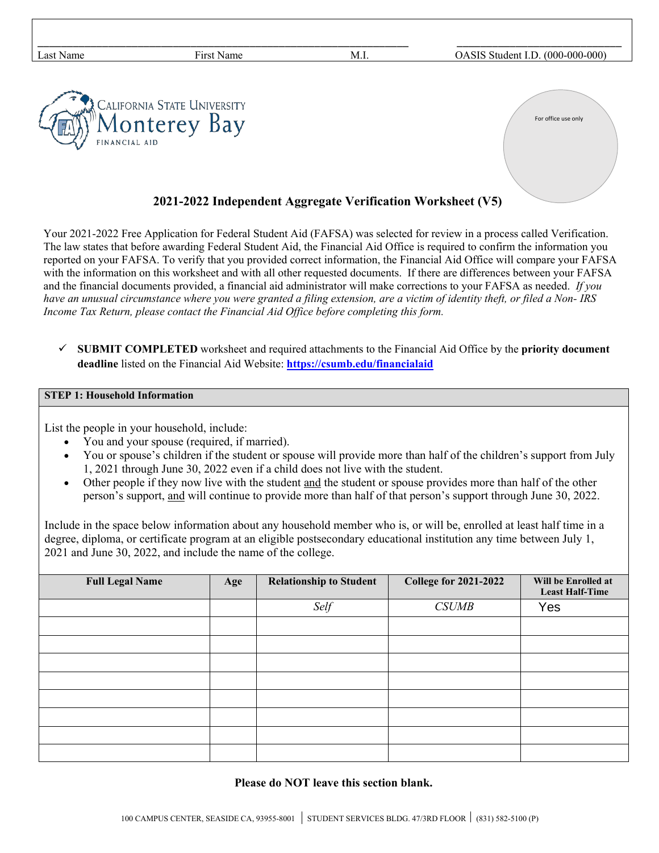| Last Name     | First Name                  | M.I. | OASIS Student I.D. (000-000-000) |
|---------------|-----------------------------|------|----------------------------------|
| FINANCIAL AID | CALIFORNIA STATE UNIVERSITY |      | For office use only              |

## **2021-2022 Independent Aggregate Verification Worksheet (V5)**

Your 2021-2022 Free Application for Federal Student Aid (FAFSA) was selected for review in a process called Verification. The law states that before awarding Federal Student Aid, the Financial Aid Office is required to confirm the information you reported on your FAFSA. To verify that you provided correct information, the Financial Aid Office will compare your FAFSA with the information on this worksheet and with all other requested documents. If there are differences between your FAFSA and the financial documents provided, a financial aid administrator will make corrections to your FAFSA as needed. *If you have an unusual circumstance where you were granted a filing extension, are a victim of identity theft, or filed a Non- IRS Income Tax Return, please contact the Financial Aid Office before completing this form.*

 **SUBMIT COMPLETED** worksheet and required attachments to the Financial Aid Office by the **priority document deadline** listed on the Financial Aid Website: **<https://csumb.edu/financialaid>**

### **STEP 1: Household Information**

List the people in your household, include:

- You and your spouse (required, if married).
- You or spouse's children if the student or spouse will provide more than half of the children's support from July 1, 2021 through June 30, 2022 even if a child does not live with the student.
- Other people if they now live with the student and the student or spouse provides more than half of the other person's support, and will continue to provide more than half of that person's support through June 30, 2022.

Include in the space below information about any household member who is, or will be, enrolled at least half time in a degree, diploma, or certificate program at an eligible postsecondary educational institution any time between July 1, 2021 and June 30, 2022, and include the name of the college.

| <b>Full Legal Name</b> | Age | <b>Relationship to Student</b> | <b>College for 2021-2022</b> | Will be Enrolled at<br><b>Least Half-Time</b> |
|------------------------|-----|--------------------------------|------------------------------|-----------------------------------------------|
|                        |     | Self                           | <b>CSUMB</b>                 | Yes                                           |
|                        |     |                                |                              |                                               |
|                        |     |                                |                              |                                               |
|                        |     |                                |                              |                                               |
|                        |     |                                |                              |                                               |
|                        |     |                                |                              |                                               |
|                        |     |                                |                              |                                               |
|                        |     |                                |                              |                                               |
|                        |     |                                |                              |                                               |

**Please do NOT leave this section blank.**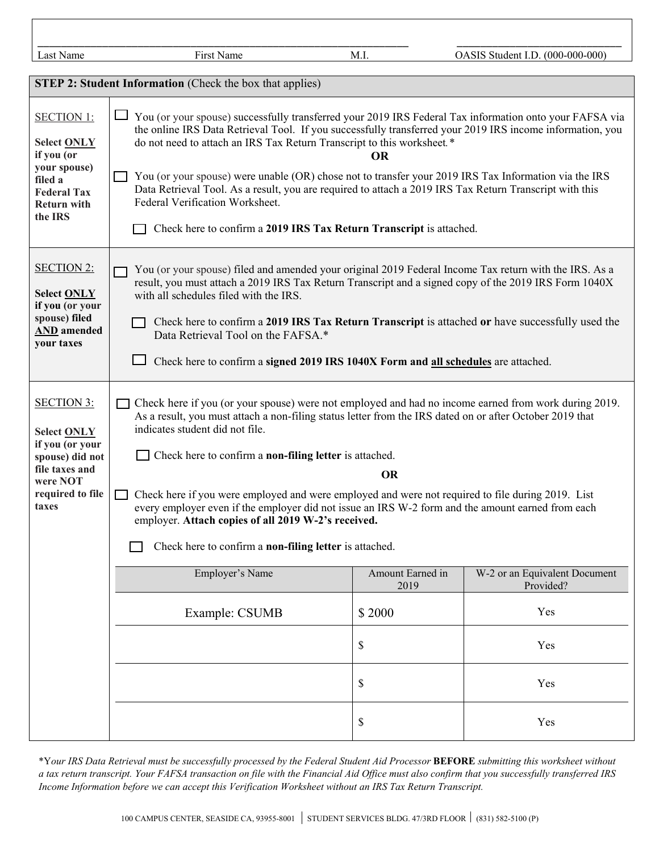| Last Name                                                                                                                                | First Name                                                                                                                                                                                                                                                                                                                                                                                                                                                                                                                                                                                                                                                                                                                                                       | M.I.         | OASIS Student I.D. (000-000-000) |  |
|------------------------------------------------------------------------------------------------------------------------------------------|------------------------------------------------------------------------------------------------------------------------------------------------------------------------------------------------------------------------------------------------------------------------------------------------------------------------------------------------------------------------------------------------------------------------------------------------------------------------------------------------------------------------------------------------------------------------------------------------------------------------------------------------------------------------------------------------------------------------------------------------------------------|--------------|----------------------------------|--|
|                                                                                                                                          | <b>STEP 2: Student Information</b> (Check the box that applies)                                                                                                                                                                                                                                                                                                                                                                                                                                                                                                                                                                                                                                                                                                  |              |                                  |  |
| <b>SECTION 1:</b><br>Select ONLY<br>if you (or<br>your spouse)<br>filed a<br><b>Federal Tax</b><br><b>Return with</b><br>the IRS         | You (or your spouse) successfully transferred your 2019 IRS Federal Tax information onto your FAFSA via<br>the online IRS Data Retrieval Tool. If you successfully transferred your 2019 IRS income information, you<br>do not need to attach an IRS Tax Return Transcript to this worksheet.*<br>OR<br>You (or your spouse) were unable (OR) chose not to transfer your 2019 IRS Tax Information via the IRS<br>Data Retrieval Tool. As a result, you are required to attach a 2019 IRS Tax Return Transcript with this<br>Federal Verification Worksheet.<br>Check here to confirm a 2019 IRS Tax Return Transcript is attached.                                                                                                                               |              |                                  |  |
| <b>SECTION 2:</b><br>Select ONLY<br>if you (or your<br>spouse) filed<br><b>AND</b> amended<br>your taxes                                 | You (or your spouse) filed and amended your original 2019 Federal Income Tax return with the IRS. As a<br>result, you must attach a 2019 IRS Tax Return Transcript and a signed copy of the 2019 IRS Form 1040X<br>with all schedules filed with the IRS.<br>Check here to confirm a 2019 IRS Tax Return Transcript is attached or have successfully used the<br>Data Retrieval Tool on the FAFSA.*<br>Check here to confirm a signed 2019 IRS 1040X Form and all schedules are attached.                                                                                                                                                                                                                                                                        |              |                                  |  |
| <b>SECTION 3:</b><br><b>Select ONLY</b><br>if you (or your<br>spouse) did not<br>file taxes and<br>were NOT<br>required to file<br>taxes | Check here if you (or your spouse) were not employed and had no income earned from work during 2019.<br>As a result, you must attach a non-filing status letter from the IRS dated on or after October 2019 that<br>indicates student did not file.<br>$\Box$ Check here to confirm a <b>non-filing letter</b> is attached.<br><b>OR</b><br>Check here if you were employed and were employed and were not required to file during 2019. List<br>every employer even if the employer did not issue an IRS W-2 form and the amount earned from each<br>employer. Attach copies of all 2019 W-2's received.<br>Check here to confirm a non-filing letter is attached.<br>Employer's Name<br>Amount Earned in<br>W-2 or an Equivalent Document<br>2019<br>Provided? |              |                                  |  |
|                                                                                                                                          | Example: CSUMB                                                                                                                                                                                                                                                                                                                                                                                                                                                                                                                                                                                                                                                                                                                                                   | \$2000<br>\$ | Yes<br>Yes                       |  |
|                                                                                                                                          |                                                                                                                                                                                                                                                                                                                                                                                                                                                                                                                                                                                                                                                                                                                                                                  | \$           | Yes                              |  |
|                                                                                                                                          |                                                                                                                                                                                                                                                                                                                                                                                                                                                                                                                                                                                                                                                                                                                                                                  | \$           | Yes                              |  |

\*Y*our IRS Data Retrieval must be successfully processed by the Federal Student Aid Processor* **BEFORE** *submitting this worksheet without a tax return transcript. Your FAFSA transaction on file with the Financial Aid Office must also confirm that you successfully transferred IRS Income Information before we can accept this Verification Worksheet without an IRS Tax Return Transcript.*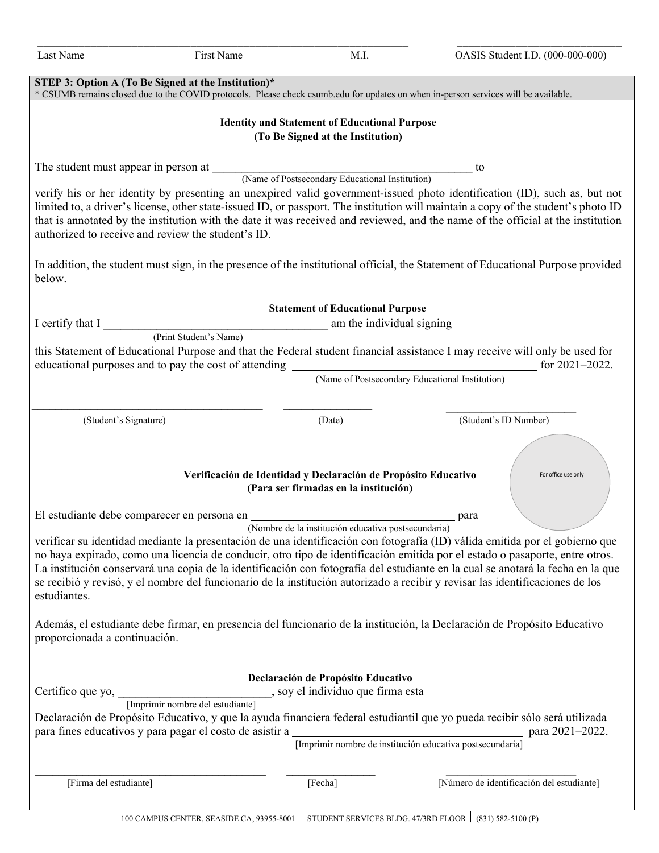| Last Name                            | First Name                                                                                                                                                                                                                     | M.I.                                                                                                    | OASIS Student I.D. (000-000-000)                                                                                                                                                                                                                                                                                                                                                                                                                                                                                                 |
|--------------------------------------|--------------------------------------------------------------------------------------------------------------------------------------------------------------------------------------------------------------------------------|---------------------------------------------------------------------------------------------------------|----------------------------------------------------------------------------------------------------------------------------------------------------------------------------------------------------------------------------------------------------------------------------------------------------------------------------------------------------------------------------------------------------------------------------------------------------------------------------------------------------------------------------------|
|                                      | STEP 3: Option A (To Be Signed at the Institution)*                                                                                                                                                                            |                                                                                                         | * CSUMB remains closed due to the COVID protocols. Please check csumb.edu for updates on when in-person services will be available.                                                                                                                                                                                                                                                                                                                                                                                              |
|                                      |                                                                                                                                                                                                                                |                                                                                                         |                                                                                                                                                                                                                                                                                                                                                                                                                                                                                                                                  |
|                                      |                                                                                                                                                                                                                                | <b>Identity and Statement of Educational Purpose</b><br>(To Be Signed at the Institution)               |                                                                                                                                                                                                                                                                                                                                                                                                                                                                                                                                  |
| The student must appear in person at |                                                                                                                                                                                                                                | (Name of Postsecondary Educational Institution)                                                         | to                                                                                                                                                                                                                                                                                                                                                                                                                                                                                                                               |
|                                      | authorized to receive and review the student's ID.                                                                                                                                                                             |                                                                                                         | verify his or her identity by presenting an unexpired valid government-issued photo identification (ID), such as, but not<br>limited to, a driver's license, other state-issued ID, or passport. The institution will maintain a copy of the student's photo ID<br>that is annotated by the institution with the date it was received and reviewed, and the name of the official at the institution                                                                                                                              |
| below.                               |                                                                                                                                                                                                                                |                                                                                                         | In addition, the student must sign, in the presence of the institutional official, the Statement of Educational Purpose provided                                                                                                                                                                                                                                                                                                                                                                                                 |
|                                      |                                                                                                                                                                                                                                | <b>Statement of Educational Purpose</b>                                                                 |                                                                                                                                                                                                                                                                                                                                                                                                                                                                                                                                  |
| I certify that I                     |                                                                                                                                                                                                                                | am the individual signing                                                                               |                                                                                                                                                                                                                                                                                                                                                                                                                                                                                                                                  |
|                                      | (Print Student's Name)<br>educational purposes and to pay the cost of attending                                                                                                                                                |                                                                                                         | this Statement of Educational Purpose and that the Federal student financial assistance I may receive will only be used for<br>for $2021 - 2022$ .                                                                                                                                                                                                                                                                                                                                                                               |
|                                      |                                                                                                                                                                                                                                | (Name of Postsecondary Educational Institution)                                                         |                                                                                                                                                                                                                                                                                                                                                                                                                                                                                                                                  |
|                                      |                                                                                                                                                                                                                                |                                                                                                         |                                                                                                                                                                                                                                                                                                                                                                                                                                                                                                                                  |
| (Student's Signature)                |                                                                                                                                                                                                                                | (Date)                                                                                                  | (Student's ID Number)                                                                                                                                                                                                                                                                                                                                                                                                                                                                                                            |
|                                      |                                                                                                                                                                                                                                | Verificación de Identidad y Declaración de Propósito Educativo<br>(Para ser firmadas en la institución) | For office use only                                                                                                                                                                                                                                                                                                                                                                                                                                                                                                              |
|                                      | El estudiante debe comparecer en persona en                                                                                                                                                                                    |                                                                                                         | <sub>-</sub> para                                                                                                                                                                                                                                                                                                                                                                                                                                                                                                                |
| estudiantes.                         |                                                                                                                                                                                                                                | (Nombre de la institución educativa postsecundaria)                                                     | verificar su identidad mediante la presentación de una identificación con fotografía (ID) válida emitida por el gobierno que<br>no haya expirado, como una licencia de conducir, otro tipo de identificación emitida por el estado o pasaporte, entre otros.<br>La institución conservará una copia de la identificación con fotografía del estudiante en la cual se anotará la fecha en la que<br>se recibió y revisó, y el nombre del funcionario de la institución autorizado a recibir y revisar las identificaciones de los |
| proporcionada a continuación.        |                                                                                                                                                                                                                                |                                                                                                         | Además, el estudiante debe firmar, en presencia del funcionario de la institución, la Declaración de Propósito Educativo                                                                                                                                                                                                                                                                                                                                                                                                         |
| Certifico que yo,                    |                                                                                                                                                                                                                                | Declaración de Propósito Educativo<br>, soy el individuo que firma esta                                 |                                                                                                                                                                                                                                                                                                                                                                                                                                                                                                                                  |
|                                      | [Imprimir nombre del estudiante]                                                                                                                                                                                               |                                                                                                         |                                                                                                                                                                                                                                                                                                                                                                                                                                                                                                                                  |
|                                      | para fines educativos y para pagar el costo de asistir a el para el para el para el para el para el para el para el para el para el para el para el para el para el para el para el para el para el para el para el para el pa | [Imprimir nombre de institución educativa postsecundaria]                                               | Declaración de Propósito Educativo, y que la ayuda financiera federal estudiantil que yo pueda recibir sólo será utilizada<br>para 2021-2022.                                                                                                                                                                                                                                                                                                                                                                                    |
| [Firma del estudiante]               |                                                                                                                                                                                                                                | [Fecha]                                                                                                 | [Número de identificación del estudiante]                                                                                                                                                                                                                                                                                                                                                                                                                                                                                        |
|                                      |                                                                                                                                                                                                                                |                                                                                                         |                                                                                                                                                                                                                                                                                                                                                                                                                                                                                                                                  |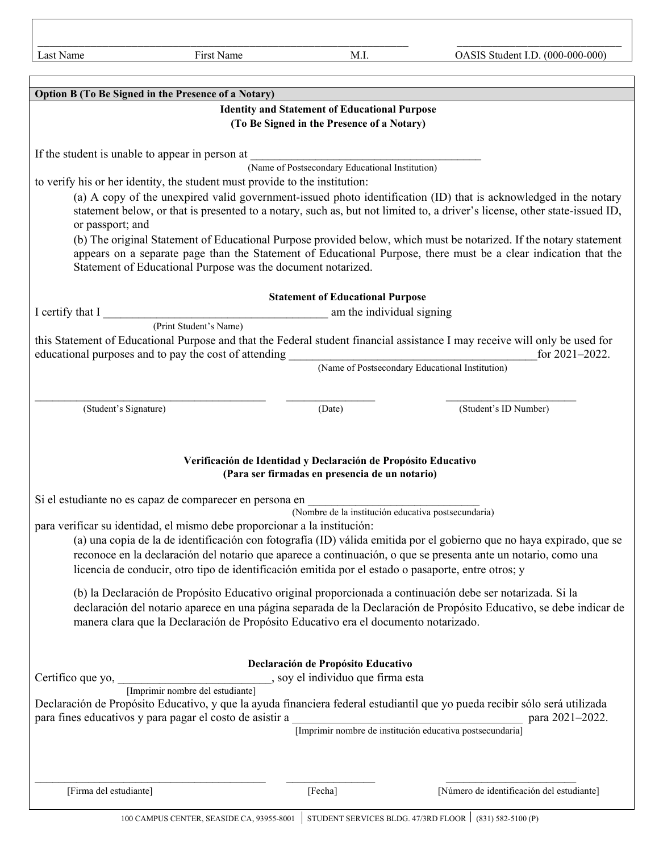\_\_\_\_\_\_\_\_\_\_\_\_\_\_\_\_\_\_\_\_\_\_\_\_\_\_\_\_\_\_\_\_\_\_\_\_\_\_\_\_\_\_\_\_\_\_\_\_\_\_\_\_\_\_\_\_\_\_\_\_\_\_\_ \_\_\_\_\_\_\_\_\_\_\_\_\_\_\_\_\_\_\_\_\_\_\_\_\_\_\_\_

| Option B (To Be Signed in the Presence of a Notary)                                                                                                                                                                                            |  |  |  |
|------------------------------------------------------------------------------------------------------------------------------------------------------------------------------------------------------------------------------------------------|--|--|--|
| <b>Identity and Statement of Educational Purpose</b>                                                                                                                                                                                           |  |  |  |
| (To Be Signed in the Presence of a Notary)                                                                                                                                                                                                     |  |  |  |
|                                                                                                                                                                                                                                                |  |  |  |
| If the student is unable to appear in person at                                                                                                                                                                                                |  |  |  |
| (Name of Postsecondary Educational Institution)                                                                                                                                                                                                |  |  |  |
| to verify his or her identity, the student must provide to the institution:                                                                                                                                                                    |  |  |  |
| (a) A copy of the unexpired valid government-issued photo identification (ID) that is acknowledged in the notary<br>statement below, or that is presented to a notary, such as, but not limited to, a driver's license, other state-issued ID, |  |  |  |
| or passport; and                                                                                                                                                                                                                               |  |  |  |
| (b) The original Statement of Educational Purpose provided below, which must be notarized. If the notary statement                                                                                                                             |  |  |  |
| appears on a separate page than the Statement of Educational Purpose, there must be a clear indication that the                                                                                                                                |  |  |  |
| Statement of Educational Purpose was the document notarized.                                                                                                                                                                                   |  |  |  |
|                                                                                                                                                                                                                                                |  |  |  |
| <b>Statement of Educational Purpose</b>                                                                                                                                                                                                        |  |  |  |
| am the individual signing<br>I certify that I<br>(Print Student's Name)                                                                                                                                                                        |  |  |  |
| this Statement of Educational Purpose and that the Federal student financial assistance I may receive will only be used for                                                                                                                    |  |  |  |
| educational purposes and to pay the cost of attending<br>for 2021-2022.                                                                                                                                                                        |  |  |  |
| (Name of Postsecondary Educational Institution)                                                                                                                                                                                                |  |  |  |
|                                                                                                                                                                                                                                                |  |  |  |
| (Student's Signature)<br>(Date)<br>(Student's ID Number)                                                                                                                                                                                       |  |  |  |
|                                                                                                                                                                                                                                                |  |  |  |
|                                                                                                                                                                                                                                                |  |  |  |
| Verificación de Identidad y Declaración de Propósito Educativo                                                                                                                                                                                 |  |  |  |
| (Para ser firmadas en presencia de un notario)                                                                                                                                                                                                 |  |  |  |
|                                                                                                                                                                                                                                                |  |  |  |
| Si el estudiante no es capaz de comparecer en persona en                                                                                                                                                                                       |  |  |  |
| (Nombre de la institución educativa postsecundaria)<br>para verificar su identidad, el mismo debe proporcionar a la institución:                                                                                                               |  |  |  |
| (a) una copia de la de identificación con fotografía (ID) válida emitida por el gobierno que no haya expirado, que se                                                                                                                          |  |  |  |
| reconoce en la declaración del notario que aparece a continuación, o que se presenta ante un notario, como una                                                                                                                                 |  |  |  |
| licencia de conducir, otro tipo de identificación emitida por el estado o pasaporte, entre otros; y                                                                                                                                            |  |  |  |
| (b) la Declaración de Propósito Educativo original proporcionada a continuación debe ser notarizada. Si la                                                                                                                                     |  |  |  |
| declaración del notario aparece en una página separada de la Declaración de Propósito Educativo, se debe indicar de                                                                                                                            |  |  |  |
| manera clara que la Declaración de Propósito Educativo era el documento notarizado.                                                                                                                                                            |  |  |  |
|                                                                                                                                                                                                                                                |  |  |  |
|                                                                                                                                                                                                                                                |  |  |  |
| Declaración de Propósito Educativo                                                                                                                                                                                                             |  |  |  |
| Certifico que yo, [Imprimir nombre del estudiante], soy el individuo que firma esta                                                                                                                                                            |  |  |  |
| Declaración de Propósito Educativo, y que la ayuda financiera federal estudiantil que yo pueda recibir sólo será utilizada                                                                                                                     |  |  |  |
| para fines educativos y para pagar el costo de asistir a [Imprimir nombre de institución educativa postsecundaria]<br>para 2021-2022.                                                                                                          |  |  |  |
|                                                                                                                                                                                                                                                |  |  |  |
|                                                                                                                                                                                                                                                |  |  |  |
|                                                                                                                                                                                                                                                |  |  |  |
| [Firma del estudiante]<br>[Número de identificación del estudiante]<br>[Fecha]                                                                                                                                                                 |  |  |  |
|                                                                                                                                                                                                                                                |  |  |  |